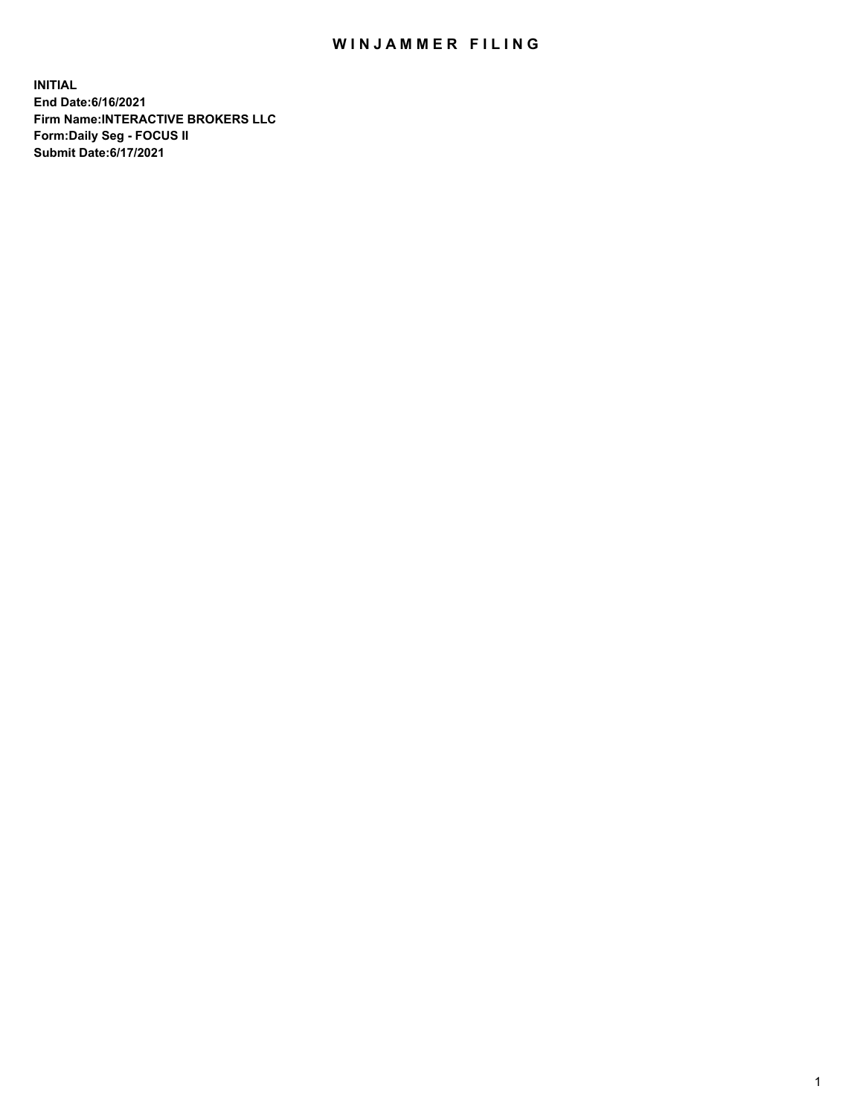## WIN JAMMER FILING

**INITIAL End Date:6/16/2021 Firm Name:INTERACTIVE BROKERS LLC Form:Daily Seg - FOCUS II Submit Date:6/17/2021**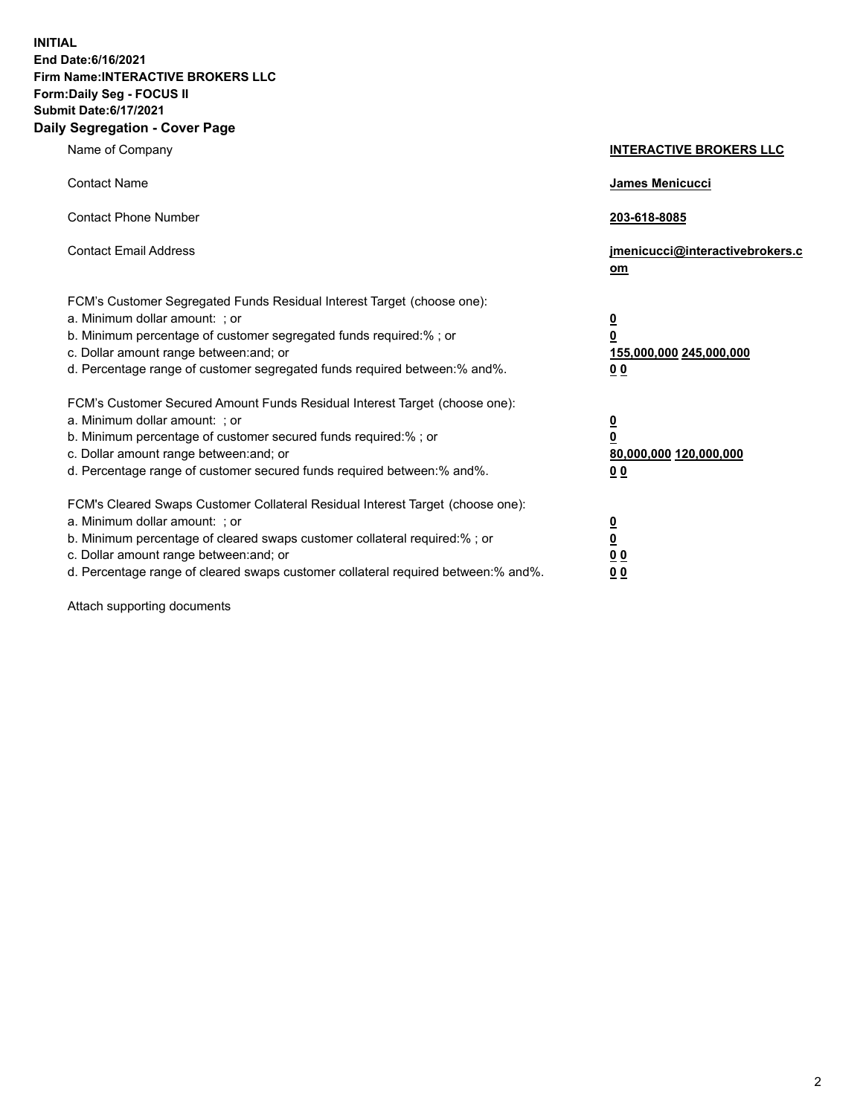**INITIAL End Date:6/16/2021 Firm Name:INTERACTIVE BROKERS LLC Form:Daily Seg - FOCUS II Submit Date:6/17/2021 Daily Segregation - Cover Page**

| Name of Company                                                                                                                                                                                                                                                                                                                | <b>INTERACTIVE BROKERS LLC</b>                                                                  |
|--------------------------------------------------------------------------------------------------------------------------------------------------------------------------------------------------------------------------------------------------------------------------------------------------------------------------------|-------------------------------------------------------------------------------------------------|
| <b>Contact Name</b>                                                                                                                                                                                                                                                                                                            | James Menicucci                                                                                 |
| <b>Contact Phone Number</b>                                                                                                                                                                                                                                                                                                    | 203-618-8085                                                                                    |
| <b>Contact Email Address</b>                                                                                                                                                                                                                                                                                                   | jmenicucci@interactivebrokers.c<br>om                                                           |
| FCM's Customer Segregated Funds Residual Interest Target (choose one):<br>a. Minimum dollar amount: ; or<br>b. Minimum percentage of customer segregated funds required:% ; or<br>c. Dollar amount range between: and; or<br>d. Percentage range of customer segregated funds required between:% and%.                         | $\overline{\mathbf{0}}$<br>$\overline{\mathbf{0}}$<br>155,000,000 245,000,000<br>0 <sub>0</sub> |
| FCM's Customer Secured Amount Funds Residual Interest Target (choose one):<br>a. Minimum dollar amount: ; or<br>b. Minimum percentage of customer secured funds required:% ; or<br>c. Dollar amount range between: and; or<br>d. Percentage range of customer secured funds required between:% and%.                           | $\overline{\mathbf{0}}$<br>0<br>80,000,000 120,000,000<br>0 <sub>0</sub>                        |
| FCM's Cleared Swaps Customer Collateral Residual Interest Target (choose one):<br>a. Minimum dollar amount: ; or<br>b. Minimum percentage of cleared swaps customer collateral required:% ; or<br>c. Dollar amount range between: and; or<br>d. Percentage range of cleared swaps customer collateral required between:% and%. | $\overline{\mathbf{0}}$<br><u>0</u><br>$\underline{0}$ $\underline{0}$<br>00                    |

Attach supporting documents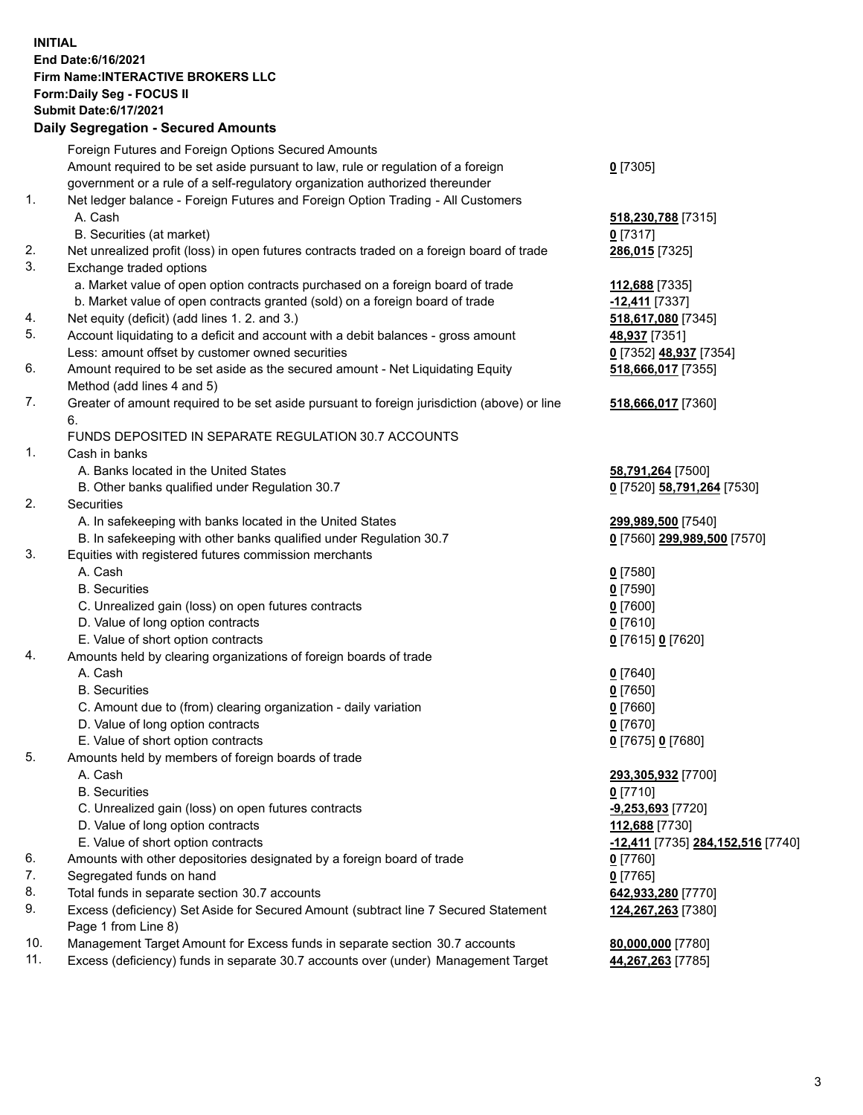**INITIAL End Date:6/16/2021 Firm Name:INTERACTIVE BROKERS LLC Form:Daily Seg - FOCUS II Submit Date:6/17/2021 Daily Segregation - Secured Amounts**

## Foreign Futures and Foreign Options Secured Amounts Amount required to be set aside pursuant to law, rule or regulation of a foreign government or a rule of a self-regulatory organization authorized thereunder **0** [7305] 1. Net ledger balance - Foreign Futures and Foreign Option Trading - All Customers A. Cash **518,230,788** [7315] B. Securities (at market) **0** [7317] 2. Net unrealized profit (loss) in open futures contracts traded on a foreign board of trade **286,015** [7325] 3. Exchange traded options a. Market value of open option contracts purchased on a foreign board of trade **112,688** [7335] b. Market value of open contracts granted (sold) on a foreign board of trade **-12,411** [7337] 4. Net equity (deficit) (add lines 1. 2. and 3.) **518,617,080** [7345] 5. Account liquidating to a deficit and account with a debit balances - gross amount **48,937** [7351] Less: amount offset by customer owned securities **0** [7352] **48,937** [7354] 6. Amount required to be set aside as the secured amount - Net Liquidating Equity Method (add lines 4 and 5) **518,666,017** [7355] 7. Greater of amount required to be set aside pursuant to foreign jurisdiction (above) or line 6. **518,666,017** [7360] FUNDS DEPOSITED IN SEPARATE REGULATION 30.7 ACCOUNTS 1. Cash in banks A. Banks located in the United States **58,791,264** [7500] B. Other banks qualified under Regulation 30.7 **0** [7520] **58,791,264** [7530] 2. Securities A. In safekeeping with banks located in the United States **299,989,500** [7540] B. In safekeeping with other banks qualified under Regulation 30.7 **0** [7560] **299,989,500** [7570] 3. Equities with registered futures commission merchants A. Cash **0** [7580] B. Securities **0** [7590] C. Unrealized gain (loss) on open futures contracts **0** [7600] D. Value of long option contracts **0** [7610] E. Value of short option contracts **0** [7615] **0** [7620] 4. Amounts held by clearing organizations of foreign boards of trade A. Cash **0** [7640] B. Securities **0** [7650] C. Amount due to (from) clearing organization - daily variation **0** [7660] D. Value of long option contracts **0** [7670] E. Value of short option contracts **0** [7675] **0** [7680] 5. Amounts held by members of foreign boards of trade A. Cash **293,305,932** [7700] B. Securities **0** [7710] C. Unrealized gain (loss) on open futures contracts **-9,253,693** [7720] D. Value of long option contracts **112,688** [7730] E. Value of short option contracts **-12,411** [7735] **284,152,516** [7740] 6. Amounts with other depositories designated by a foreign board of trade **0** [7760] 7. Segregated funds on hand **0** [7765] 8. Total funds in separate section 30.7 accounts **642,933,280** [7770] 9. Excess (deficiency) Set Aside for Secured Amount (subtract line 7 Secured Statement Page 1 from Line 8) **124,267,263** [7380] 10. Management Target Amount for Excess funds in separate section 30.7 accounts **80,000,000** [7780] 11. Excess (deficiency) funds in separate 30.7 accounts over (under) Management Target **44,267,263** [7785]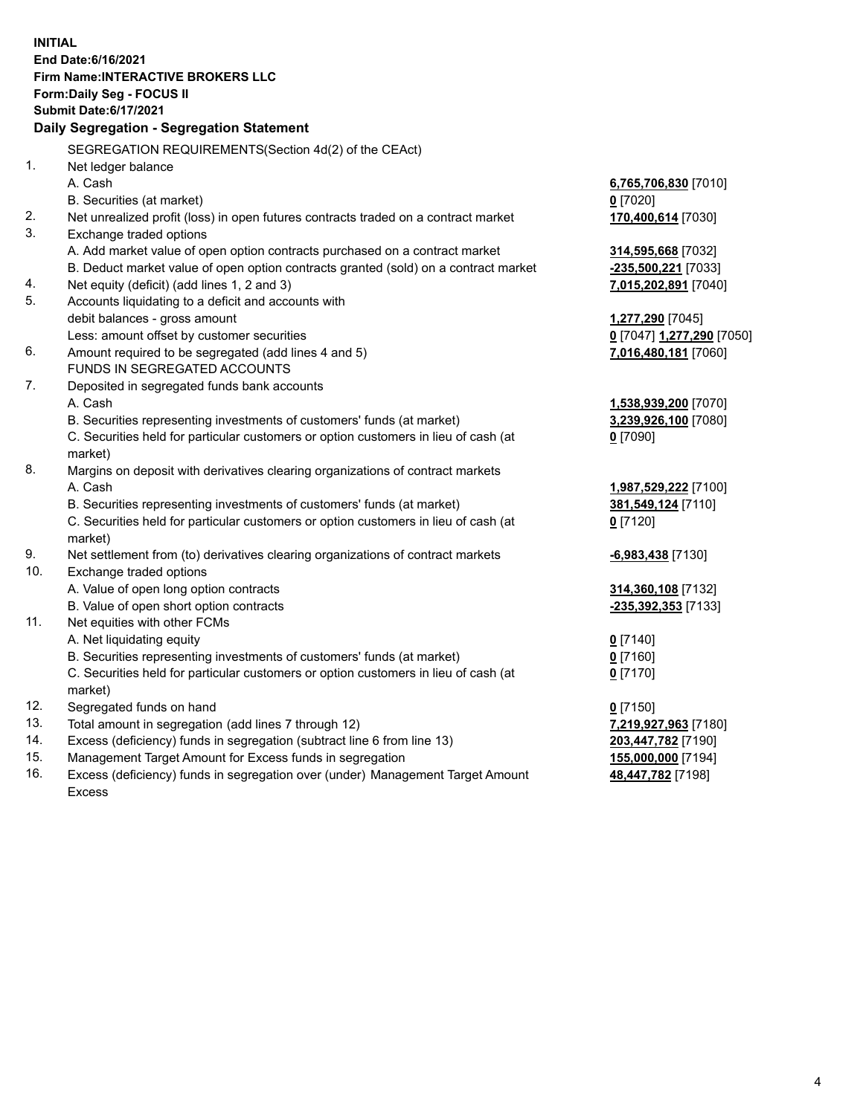**INITIAL End Date:6/16/2021 Firm Name:INTERACTIVE BROKERS LLC Form:Daily Seg - FOCUS II Submit Date:6/17/2021 Daily Segregation - Segregation Statement** SEGREGATION REQUIREMENTS(Section 4d(2) of the CEAct) 1. Net ledger balance A. Cash **6,765,706,830** [7010] B. Securities (at market) **0** [7020] 2. Net unrealized profit (loss) in open futures contracts traded on a contract market **170,400,614** [7030] 3. Exchange traded options A. Add market value of open option contracts purchased on a contract market **314,595,668** [7032] B. Deduct market value of open option contracts granted (sold) on a contract market **-235,500,221** [7033] 4. Net equity (deficit) (add lines 1, 2 and 3) **7,015,202,891** [7040] 5. Accounts liquidating to a deficit and accounts with debit balances - gross amount **1,277,290** [7045] Less: amount offset by customer securities **0** [7047] **1,277,290** [7050] 6. Amount required to be segregated (add lines 4 and 5) **7,016,480,181** [7060] FUNDS IN SEGREGATED ACCOUNTS 7. Deposited in segregated funds bank accounts A. Cash **1,538,939,200** [7070] B. Securities representing investments of customers' funds (at market) **3,239,926,100** [7080] C. Securities held for particular customers or option customers in lieu of cash (at market) **0** [7090] 8. Margins on deposit with derivatives clearing organizations of contract markets A. Cash **1,987,529,222** [7100] B. Securities representing investments of customers' funds (at market) **381,549,124** [7110] C. Securities held for particular customers or option customers in lieu of cash (at market) **0** [7120] 9. Net settlement from (to) derivatives clearing organizations of contract markets **-6,983,438** [7130] 10. Exchange traded options A. Value of open long option contracts **314,360,108** [7132] B. Value of open short option contracts **-235,392,353** [7133] 11. Net equities with other FCMs A. Net liquidating equity **0** [7140] B. Securities representing investments of customers' funds (at market) **0** [7160] C. Securities held for particular customers or option customers in lieu of cash (at market) **0** [7170] 12. Segregated funds on hand **0** [7150] 13. Total amount in segregation (add lines 7 through 12) **7,219,927,963** [7180] 14. Excess (deficiency) funds in segregation (subtract line 6 from line 13) **203,447,782** [7190] 15. Management Target Amount for Excess funds in segregation **155,000,000** [7194]

16. Excess (deficiency) funds in segregation over (under) Management Target Amount Excess

**48,447,782** [7198]